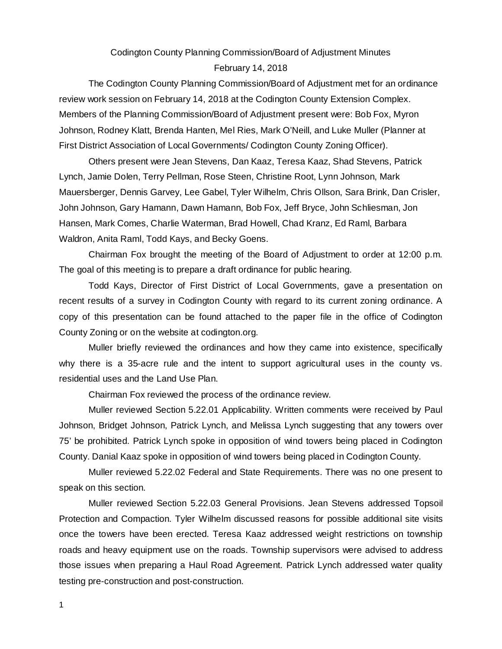## Codington County Planning Commission/Board of Adjustment Minutes February 14, 2018

The Codington County Planning Commission/Board of Adjustment met for an ordinance review work session on February 14, 2018 at the Codington County Extension Complex. Members of the Planning Commission/Board of Adjustment present were: Bob Fox, Myron Johnson, Rodney Klatt, Brenda Hanten, Mel Ries, Mark O'Neill, and Luke Muller (Planner at First District Association of Local Governments/ Codington County Zoning Officer).

Others present were Jean Stevens, Dan Kaaz, Teresa Kaaz, Shad Stevens, Patrick Lynch, Jamie Dolen, Terry Pellman, Rose Steen, Christine Root, Lynn Johnson, Mark Mauersberger, Dennis Garvey, Lee Gabel, Tyler Wilhelm, Chris Ollson, Sara Brink, Dan Crisler, John Johnson, Gary Hamann, Dawn Hamann, Bob Fox, Jeff Bryce, John Schliesman, Jon Hansen, Mark Comes, Charlie Waterman, Brad Howell, Chad Kranz, Ed Raml, Barbara Waldron, Anita Raml, Todd Kays, and Becky Goens.

Chairman Fox brought the meeting of the Board of Adjustment to order at 12:00 p.m. The goal of this meeting is to prepare a draft ordinance for public hearing.

Todd Kays, Director of First District of Local Governments, gave a presentation on recent results of a survey in Codington County with regard to its current zoning ordinance. A copy of this presentation can be found attached to the paper file in the office of Codington County Zoning or on the website at codington.org.

Muller briefly reviewed the ordinances and how they came into existence, specifically why there is a 35-acre rule and the intent to support agricultural uses in the county vs. residential uses and the Land Use Plan.

Chairman Fox reviewed the process of the ordinance review.

Muller reviewed Section 5.22.01 Applicability. Written comments were received by Paul Johnson, Bridget Johnson, Patrick Lynch, and Melissa Lynch suggesting that any towers over 75' be prohibited. Patrick Lynch spoke in opposition of wind towers being placed in Codington County. Danial Kaaz spoke in opposition of wind towers being placed in Codington County.

Muller reviewed 5.22.02 Federal and State Requirements. There was no one present to speak on this section.

Muller reviewed Section 5.22.03 General Provisions. Jean Stevens addressed Topsoil Protection and Compaction. Tyler Wilhelm discussed reasons for possible additional site visits once the towers have been erected. Teresa Kaaz addressed weight restrictions on township roads and heavy equipment use on the roads. Township supervisors were advised to address those issues when preparing a Haul Road Agreement. Patrick Lynch addressed water quality testing pre-construction and post-construction.